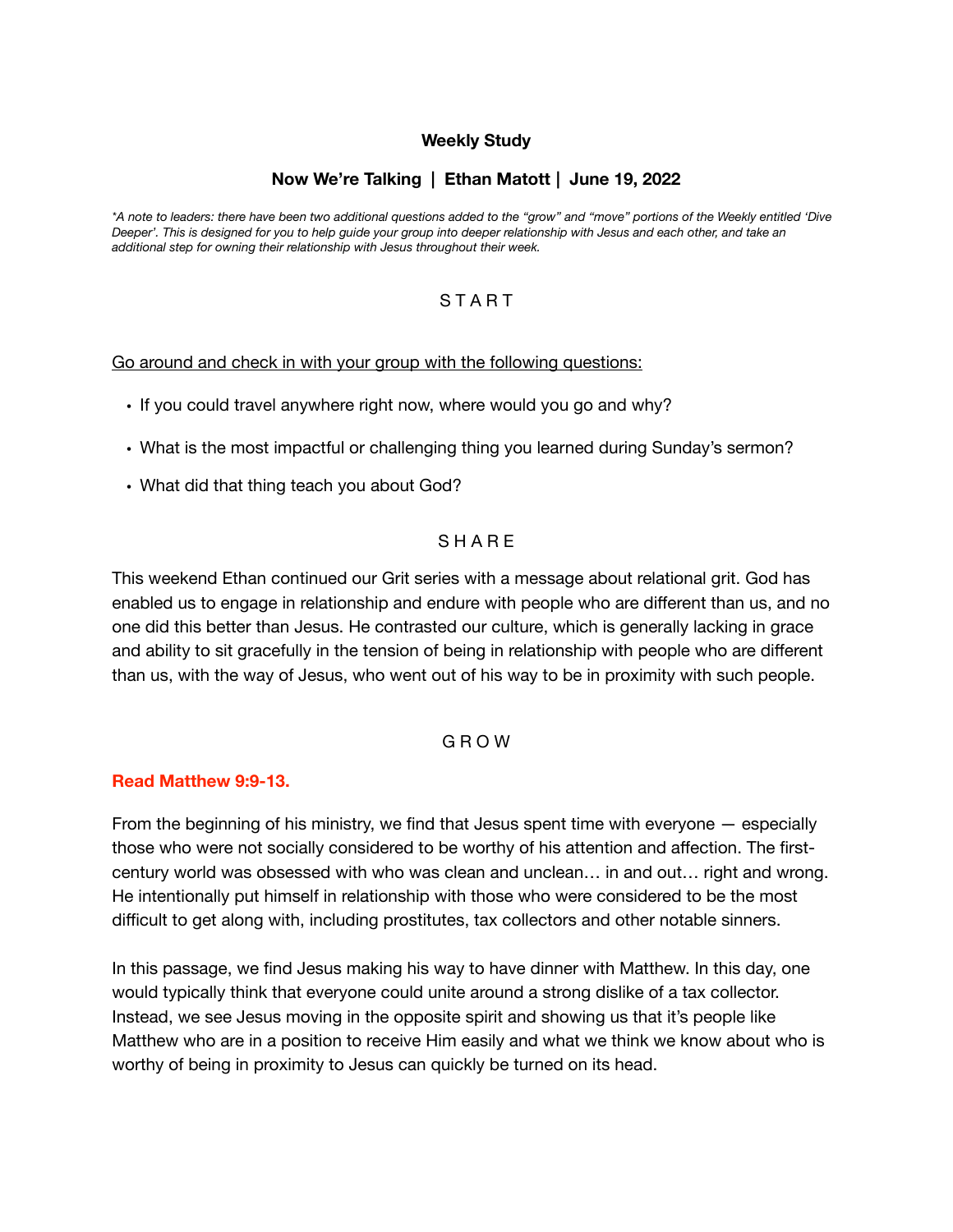### **Weekly Study**

# **Now We're Talking | Ethan Matott | June 19, 2022**

*\*A note to leaders: there have been two additional questions added to the "grow" and "move" portions of the Weekly entitled 'Dive Deeper'. This is designed for you to help guide your group into deeper relationship with Jesus and each other, and take an additional step for owning their relationship with Jesus throughout their week.* 

## **START**

#### Go around and check in with your group with the following questions:

- If you could travel anywhere right now, where would you go and why?
- What is the most impactful or challenging thing you learned during Sunday's sermon?
- What did that thing teach you about God?

### **SHARE**

This weekend Ethan continued our Grit series with a message about relational grit. God has enabled us to engage in relationship and endure with people who are different than us, and no one did this better than Jesus. He contrasted our culture, which is generally lacking in grace and ability to sit gracefully in the tension of being in relationship with people who are different than us, with the way of Jesus, who went out of his way to be in proximity with such people.

### G R O W

#### **Read Matthew 9:9-13.**

From the beginning of his ministry, we find that Jesus spent time with everyone — especially those who were not socially considered to be worthy of his attention and affection. The firstcentury world was obsessed with who was clean and unclean… in and out… right and wrong. He intentionally put himself in relationship with those who were considered to be the most difficult to get along with, including prostitutes, tax collectors and other notable sinners.

In this passage, we find Jesus making his way to have dinner with Matthew. In this day, one would typically think that everyone could unite around a strong dislike of a tax collector. Instead, we see Jesus moving in the opposite spirit and showing us that it's people like Matthew who are in a position to receive Him easily and what we think we know about who is worthy of being in proximity to Jesus can quickly be turned on its head.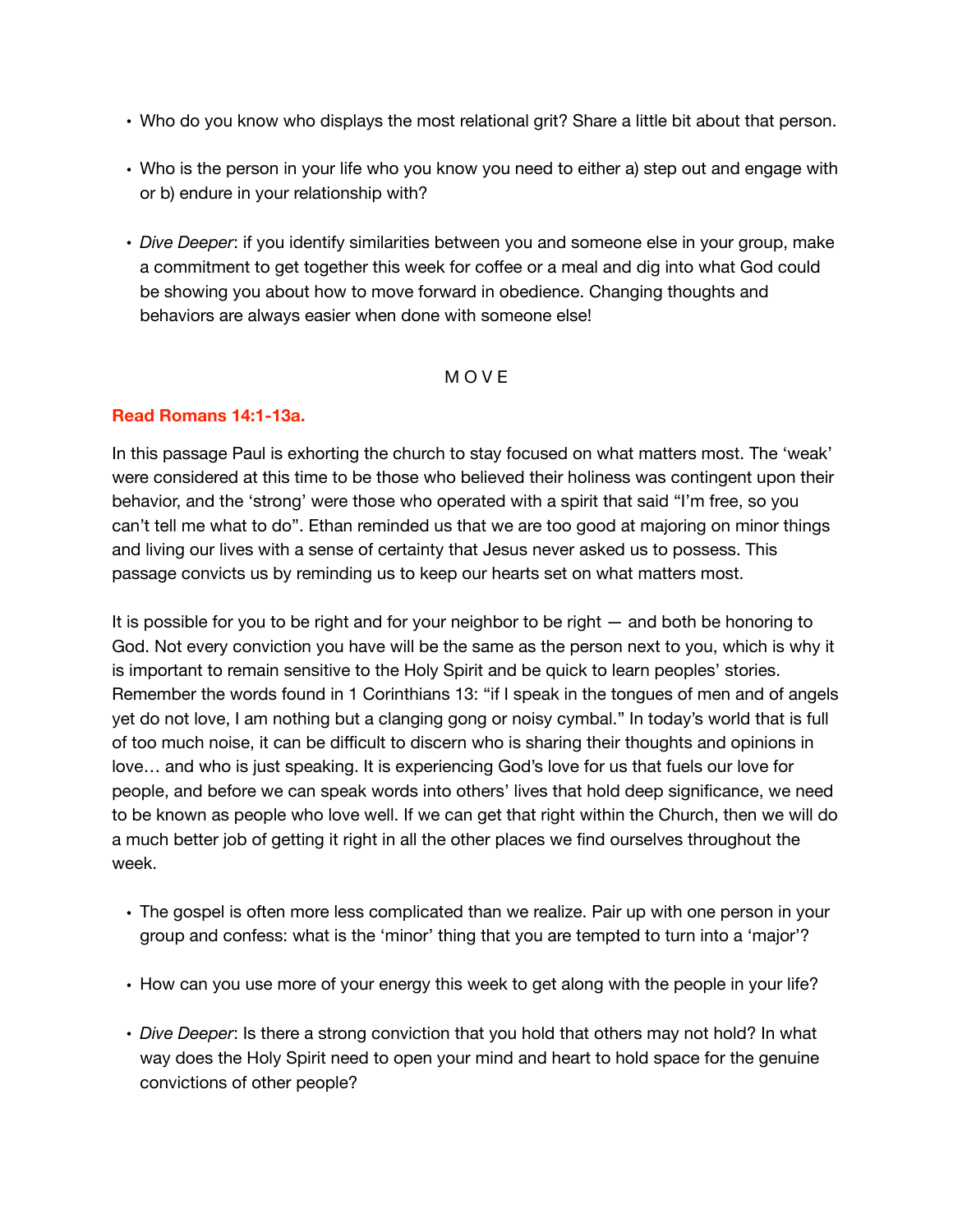- Who do you know who displays the most relational grit? Share a little bit about that person.
- Who is the person in your life who you know you need to either a) step out and engage with or b) endure in your relationship with?
- *Dive Deeper*: if you identify similarities between you and someone else in your group, make a commitment to get together this week for coffee or a meal and dig into what God could be showing you about how to move forward in obedience. Changing thoughts and behaviors are always easier when done with someone else!

## M O V E

## **Read Romans 14:1-13a.**

In this passage Paul is exhorting the church to stay focused on what matters most. The 'weak' were considered at this time to be those who believed their holiness was contingent upon their behavior, and the 'strong' were those who operated with a spirit that said "I'm free, so you can't tell me what to do". Ethan reminded us that we are too good at majoring on minor things and living our lives with a sense of certainty that Jesus never asked us to possess. This passage convicts us by reminding us to keep our hearts set on what matters most.

It is possible for you to be right and for your neighbor to be right — and both be honoring to God. Not every conviction you have will be the same as the person next to you, which is why it is important to remain sensitive to the Holy Spirit and be quick to learn peoples' stories. Remember the words found in 1 Corinthians 13: "if I speak in the tongues of men and of angels yet do not love, I am nothing but a clanging gong or noisy cymbal." In today's world that is full of too much noise, it can be difficult to discern who is sharing their thoughts and opinions in love… and who is just speaking. It is experiencing God's love for us that fuels our love for people, and before we can speak words into others' lives that hold deep significance, we need to be known as people who love well. If we can get that right within the Church, then we will do a much better job of getting it right in all the other places we find ourselves throughout the week.

- The gospel is often more less complicated than we realize. Pair up with one person in your group and confess: what is the 'minor' thing that you are tempted to turn into a 'major'?
- How can you use more of your energy this week to get along with the people in your life?
- *Dive Deeper*: Is there a strong conviction that you hold that others may not hold? In what way does the Holy Spirit need to open your mind and heart to hold space for the genuine convictions of other people?